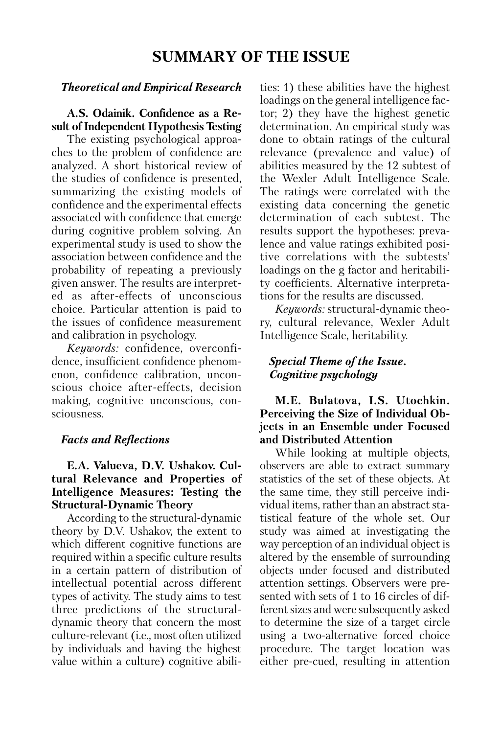# *The o ret ical and Em pi ri cal Res earch*

**A.S. Odainik. Confidence as a Re sult of Independent Hypothesis Testing** 

The existing psychological approaches to the problem of confidence are analyzed. A short historical review of the studies of confidence is presented, summarizing the existing models of confidence and the experimental effects associated with confidence that emerge during cognitive problem solving. An experimental study is used to show the association between confidence and the probability of repeating a previously given answer. The results are interpreted as after-effects of unconscious choice. Particular attention is paid to the issues of confidence measurement and calibration in psychology.

*Keywords:* confidence, overconfidence, insufficient confidence phenomenon, confidence calibration, unconscious choice after-effects, decision making, cognitive unconscious, consciousness.

# *Facts and Reflections*

# **E.A. Valueva, D.V. Ushakov. Cultu ral Relevance and Properties of Intelligence Measures: Testing the Structural-Dynamic Theory**

According to the structural-dynamic theory by D.V. Ushakov, the extent to which different cognitive functions are required within a specific culture results in a certain pattern of distribution of intellectual potential across different types of activity. The study aims to test three predictions of the structuraldynamic theory that concern the most culture-relevant (i.e., most often utilized by individuals and having the highest value within a culture) cognitive abilities: 1) these abilities have the highest loadings on the general intelligence factor; 2) they have the highest genetic determination. An empirical study was done to obtain ratings of the cultural relevance (prevalence and value) of abilities measured by the 12 subtest of the Wexler Adult Intelligence Scale. The ratings were correlated with the existing data concerning the genetic determination of each subtest. The results support the hypotheses: prevalence and value ratings exhibited positive correlations with the subtests' loadings on the g factor and heritability coefficients. Alternative interpretations for the results are discussed.

*Keywords:* structural-dynamic theory, cultural relevance, Wexler Adult Intelligence Scale, heritability.

# *Special Theme of the Issue. Cognitive psychology*

# **M.E. Bulatova, I.S. Utochkin.** Perceiving the Size of Individual Ob**jects in an Ensemble under Focused and Distributed Attention**

While looking at multiple objects, observers are able to extract summary statistics of the set of these objects. At the same time, they still perceive individual items, rather than an abstract statistical feature of the whole set. Our study was aimed at investigating the way perception of an individual object is altered by the ensemble of surrounding objects under focused and distributed attention settings. Observers were presented with sets of 1 to 16 circles of different sizes and were subsequently asked to determine the size of a target circle using a two-alternative forced choice procedure. The target location was either pre-cued, resulting in attention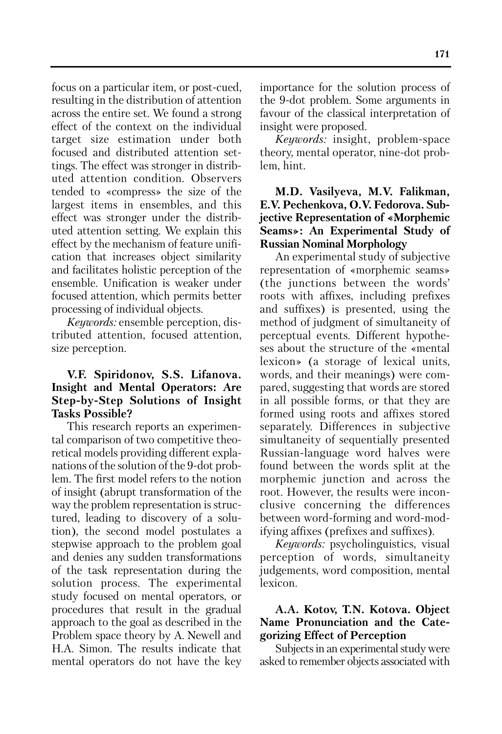**171**

focus on a particular item, or post-cued, resulting in the distribution of attention across the entire set. We found a strong effect of the context on the individual target size estimation under both focused and distributed attention settings. The effect was stronger in distributed attention condition. Observers tended to «compress» the size of the largest items in ensembles, and this effect was stronger under the distributed attention setting. We explain this effect by the mechanism of feature unification that increases object similarity and facilitates holistic perception of the ensemble. Unification is weaker under focused attention, which permits better processing of individual objects.

*Keywords:* ensemble perception, distributed attention, focused attention, size perception.

### **V.F. Spiridonov, S.S. Lifanova. Insight and Mental Operators: Are Step-by-Step Solutions of Insight Tasks Possible?**

This research reports an experimental comparison of two competitive theoretical models providing different explanations of the solution of the 9-dot problem. The first model refers to the notion of insight (abrupt transformation of the way the problem representation is structured, leading to discovery of a solution), the second model postulates a stepwise approach to the problem goal and denies any sudden transformations of the task representation during the solution process. The experimental study focused on mental operators, or procedures that result in the gradual approach to the goal as described in the Problem space theory by A. Newell and H.A. Simon. The results indicate that mental operators do not have the key

importance for the solution process of the 9-dot problem. Some arguments in favour of the classical interpretation of insight were proposed.

*Keywords:* insight, problem-space theory, mental operator, nine-dot problem, hint.

# **M.D. Vasilyeva, M.V. Falikman, E.V. Pechenkova, O.V. Fedorova. Sub jective Representation of «Morphemic Seams»: An Experimental Study of Russian Nominal Morphology**

An experimental study of subjective representation of «morphemic seams» (the junctions between the words' roots with affixes, including prefixes and suffixes) is presented, using the method of judgment of simultaneity of perceptual events. Different hypotheses about the structure of the «mental lexicon» (a storage of lexical units, words, and their meanings) were compared, suggesting that words are stored in all possible forms, or that they are formed using roots and affixes stored separately. Differences in subjective simultaneity of sequentially presented Russian-language word halves were found between the words split at the morphemic junction and across the root. However, the results were inconclusive concerning the differences between word-forming and word-modifying affixes (prefixes and suffixes).

*Keywords:* psycholinguistics, visual perception of words, simultaneity judgements, word composition, mental lexicon.

# **A.A. Kotov, T.N. Kotova. Object Name Pronunciation and the Categorizing Effect of Perception**

Subjects in an experimental study were asked to remember objects associated with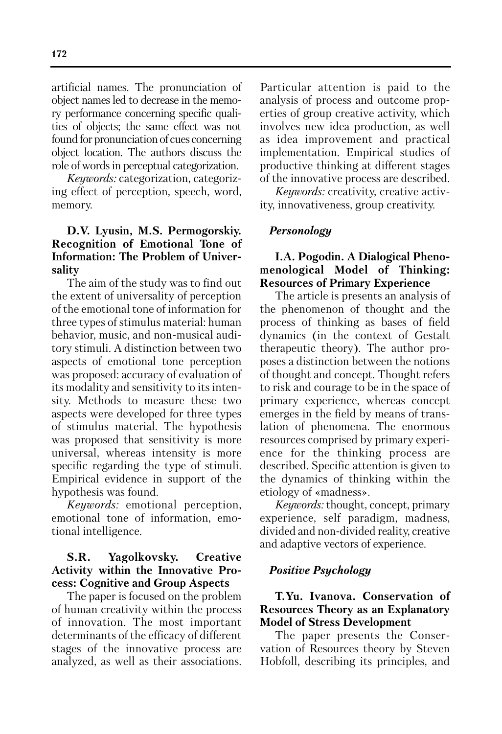artificial names. The pronunciation of object names led to decrease in the memory performance concerning specific qualities of objects; the same effect was not found for pronunciation of cues concerning object location. The authors discuss the role of words in perceptual categorization.

*Keywords:* categorization, categorizing effect of perception, speech, word, memory.

# **D.V. Lyusin, M.S. Permogorskiy. Recognition of Emotional Tone of Information: The Problem of Universality**

The aim of the study was to find out the extent of universality of perception of the emotional tone of information for three types of stimulus material: human behavior, music, and non-musical auditory stimuli. A distinction between two aspects of emotional tone perception was proposed: accuracy of evaluation of its modality and sensitivity to its intensity. Methods to measure these two aspects were developed for three types of stimulus material. The hypothesis was proposed that sensitivity is more universal, whereas intensity is more specific regarding the type of stimuli. Empirical evidence in support of the hypothesis was found.

*Keywords:* emotional perception, emotional tone of information, emotional intelligence.

## **S.R. Yagolkovsky. Creative Activity within the Innovative Pro cess: Cognitive and Group Aspects**

The paper is focused on the problem of human creativity within the process of innovation. The most important determinants of the efficacy of different stages of the innovative process are analyzed, as well as their associations.

Particular attention is paid to the analysis of process and outcome properties of group creative activity, which involves new idea production, as well as idea improvement and practical implementation. Empirical studies of productive thinking at different stages of the innovative process are described.

*Keywords:* creativity, creative activity, innovativeness, group creativity.

#### *Personology*

## **I.A. Pogodin. A Dialogical Phenomenological Model of Thinking: Resources of Primary Experience**

The article is presents an analysis of the phenomenon of thought and the process of thinking as bases of field dynamics (in the context of Gestalt therapeutic theory). The author proposes a distinction between the notions of thought and concept. Thought refers to risk and courage to be in the space of primary experience, whereas concept emerges in the field by means of translation of phenomena. The enormous resources comprised by primary experience for the thinking process are described. Specific attention is given to the dynamics of thinking within the etiology of «madness».

*Keywords:* thought, concept, primary experience, self paradigm, madness, divided and non-divided reality, creative and adaptive vectors of experience.

#### *Positive Psychology*

### **T.Yu. Ivanova. Conservation of Resources Theory as an Explanatory Model of Stress Development**

The paper presents the Conservation of Resources theory by Steven Hobfoll, describing its principles, and